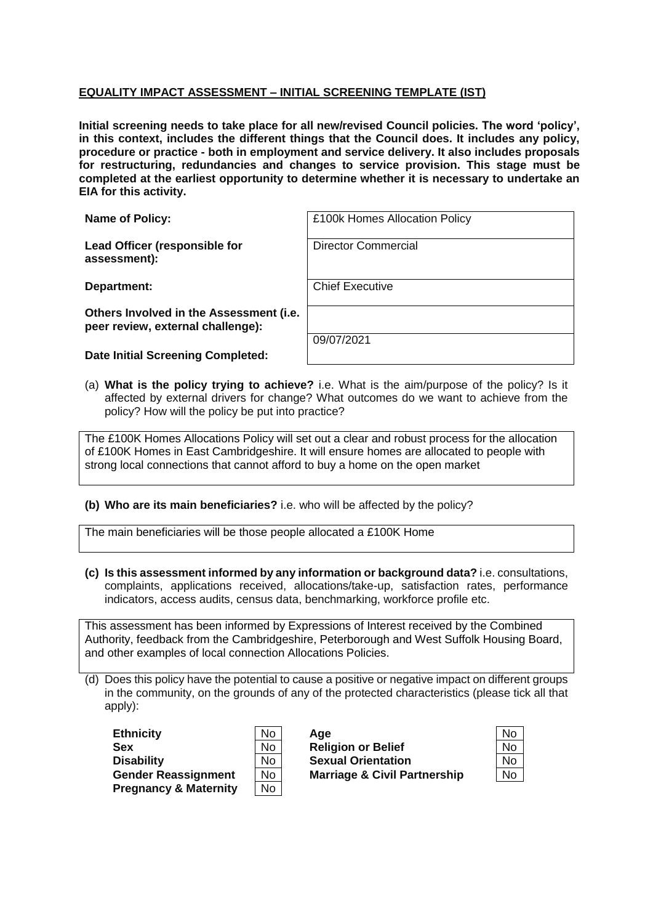## **EQUALITY IMPACT ASSESSMENT – INITIAL SCREENING TEMPLATE (IST)**

**Initial screening needs to take place for all new/revised Council policies. The word 'policy', in this context, includes the different things that the Council does. It includes any policy, procedure or practice - both in employment and service delivery. It also includes proposals for restructuring, redundancies and changes to service provision. This stage must be completed at the earliest opportunity to determine whether it is necessary to undertake an EIA for this activity.**

| <b>Name of Policy:</b>                                                       | £100k Homes Allocation Policy |
|------------------------------------------------------------------------------|-------------------------------|
| Lead Officer (responsible for<br>assessment):                                | <b>Director Commercial</b>    |
| Department:                                                                  | <b>Chief Executive</b>        |
| Others Involved in the Assessment (i.e.<br>peer review, external challenge): |                               |
| Date Initial Screening Completed:                                            | 09/07/2021                    |
|                                                                              |                               |

(a) **What is the policy trying to achieve?** i.e. What is the aim/purpose of the policy? Is it affected by external drivers for change? What outcomes do we want to achieve from the policy? How will the policy be put into practice?

The £100K Homes Allocations Policy will set out a clear and robust process for the allocation of £100K Homes in East Cambridgeshire. It will ensure homes are allocated to people with strong local connections that cannot afford to buy a home on the open market

**(b) Who are its main beneficiaries?** i.e. who will be affected by the policy?

The main beneficiaries will be those people allocated a £100K Home

**(c) Is this assessment informed by any information or background data?** i.e. consultations, complaints, applications received, allocations/take-up, satisfaction rates, performance indicators, access audits, census data, benchmarking, workforce profile etc.

This assessment has been informed by Expressions of Interest received by the Combined Authority, feedback from the Cambridgeshire, Peterborough and West Suffolk Housing Board, and other examples of local connection Allocations Policies.

(d) Does this policy have the potential to cause a positive or negative impact on different groups in the community, on the grounds of any of the protected characteristics (please tick all that apply):

| <b>Ethnicity</b>                 | No        | Age                                     | No        |
|----------------------------------|-----------|-----------------------------------------|-----------|
| Sex                              | No        | <b>Religion or Belief</b>               | <b>No</b> |
| <b>Disability</b>                | No        | <b>Sexual Orientation</b>               | <b>No</b> |
| <b>Gender Reassignment</b>       | No        | <b>Marriage &amp; Civil Partnership</b> | No        |
| <b>Pregnancy &amp; Maternity</b> | <b>No</b> |                                         |           |

| J |
|---|